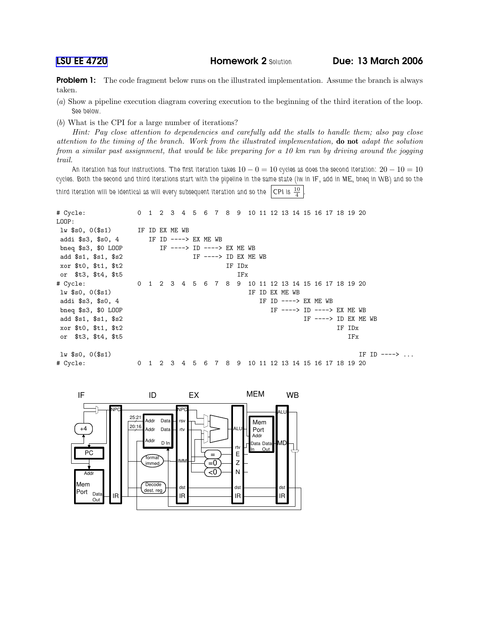**Problem 1:** The code fragment below runs on the illustrated implementation. Assume the branch is always taken.

- (a) Show a pipeline execution diagram covering execution to the beginning of the third iteration of the loop. See below.
- (b) What is the CPI for a large number of iterations?

Hint: Pay close attention to dependencies and carefully add the stalls to handle them; also pay close attention to the timing of the branch. Work from the illustrated implementation, do not adapt the solution from a similar past assignment, that would be like preparing for a 10 km run by driving around the jogging trail.

An iteration has four instructions. The first iteration takes  $10-0=10$  cycles as does the second iteration:  $20-10=10$ cycles. Both the second and third iterations start with the pipeline in the same state (lw in IF, add in ME, bneq in WB) and so the third iteration will be identical as will every subsequent iteration and so the CPI is  $\frac{10}{4}$ .

```
# Cycle: 0 1 2 3 4 5 6 7 8 9 10 11 12 13 14 15 16 17 18 19 20
LOOP:
lw $s0, 0($s1) IF ID EX ME WB
addi $s3, $s0, 4 IF ID ----> EX ME WB
bneq $s3, $0 LOOP IF ----> ID ----> EX ME WB
add $s1, $s1, $s2 IF ----> ID EX ME WB
xor $t0, $t1, $t2 IF IDx
or $t3, $t4, $t5 IFx
# Cycle: 0 1 2 3 4 5 6 7 8 9 10 11 12 13 14 15 16 17 18 19 20
lw $s0, 0($s1) IF ID EX ME WB
addi $s3, $s0, 4 				 IF ID ----> EX ME WB
bneq $s3, $0 LOOP 1 <br>
add $s1, $s1, $s2 <br>
IF ----> ID EX ME WB add $s1, $s2 <br>
IF ----> ID EX ME WB
add $s1, $s1, $s2
xor $t0, $t1, $t2 IF IDx
or $t3, $t4, $t5 IFx
\text{lw} $s0, 0($s1) IF ID ---> ...
# Cycle: 0 1 2 3 4 5 6 7 8 9 10 11 12 13 14 15 16 17 18 19 20
```